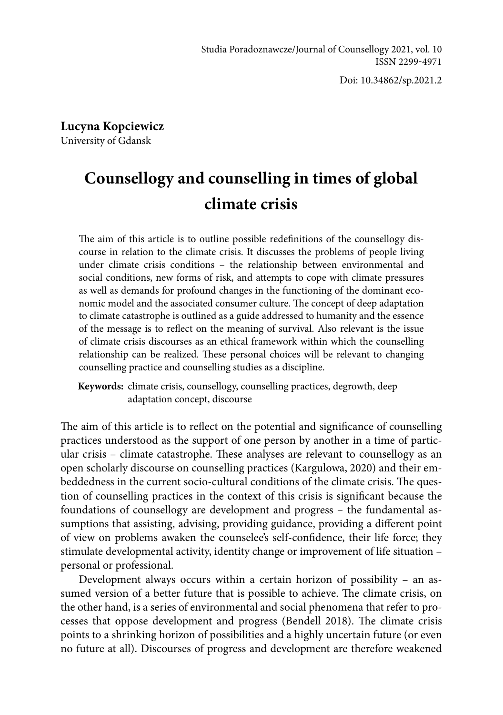Doi: 10.34862/sp.2021.2

**Lucyna Kopciewicz**  University of Gdansk

# **Counsellogy and counselling in times of global climate crisis**

The aim of this article is to outline possible redefinitions of the counsellogy discourse in relation to the climate crisis. It discusses the problems of people living under climate crisis conditions – the relationship between environmental and social conditions, new forms of risk, and attempts to cope with climate pressures as well as demands for profound changes in the functioning of the dominant economic model and the associated consumer culture. The concept of deep adaptation to climate catastrophe is outlined as a guide addressed to humanity and the essence of the message is to reflect on the meaning of survival. Also relevant is the issue of climate crisis discourses as an ethical framework within which the counselling relationship can be realized. These personal choices will be relevant to changing counselling practice and counselling studies as a discipline.

**Keywords:** climate crisis, counsellogy, counselling practices, degrowth, deep adaptation concept, discourse

The aim of this article is to reflect on the potential and significance of counselling practices understood as the support of one person by another in a time of particular crisis – climate catastrophe. These analyses are relevant to counsellogy as an open scholarly discourse on counselling practices (Kargulowa, 2020) and their embeddedness in the current socio-cultural conditions of the climate crisis. The question of counselling practices in the context of this crisis is significant because the foundations of counsellogy are development and progress – the fundamental assumptions that assisting, advising, providing guidance, providing a different point of view on problems awaken the counselee's self-confidence, their life force; they stimulate developmental activity, identity change or improvement of life situation – personal or professional.

Development always occurs within a certain horizon of possibility – an assumed version of a better future that is possible to achieve. The climate crisis, on the other hand, is a series of environmental and social phenomena that refer to processes that oppose development and progress (Bendell 2018). The climate crisis points to a shrinking horizon of possibilities and a highly uncertain future (or even no future at all). Discourses of progress and development are therefore weakened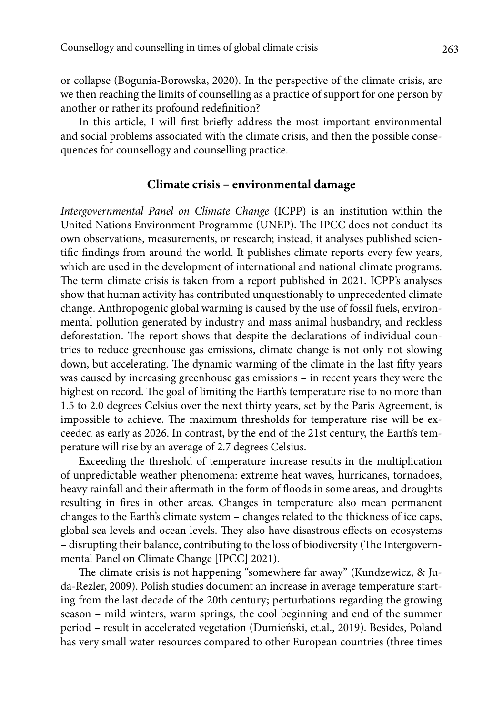or collapse (Bogunia-Borowska, 2020). In the perspective of the climate crisis, are we then reaching the limits of counselling as a practice of support for one person by another or rather its profound redefinition?

In this article, I will first briefly address the most important environmental and social problems associated with the climate crisis, and then the possible consequences for counsellogy and counselling practice.

### **Climate crisis – environmental damage**

*Intergovernmental Panel on Climate Change* (ICPP) is an institution within the United Nations Environment Programme (UNEP). The IPCC does not conduct its own observations, measurements, or research; instead, it analyses published scientific findings from around the world. It publishes climate reports every few years, which are used in the development of international and national climate programs. The term climate crisis is taken from a report published in 2021. ICPP's analyses show that human activity has contributed unquestionably to unprecedented climate change. Anthropogenic global warming is caused by the use of fossil fuels, environmental pollution generated by industry and mass animal husbandry, and reckless deforestation. The report shows that despite the declarations of individual countries to reduce greenhouse gas emissions, climate change is not only not slowing down, but accelerating. The dynamic warming of the climate in the last fifty years was caused by increasing greenhouse gas emissions – in recent years they were the highest on record. The goal of limiting the Earth's temperature rise to no more than 1.5 to 2.0 degrees Celsius over the next thirty years, set by the Paris Agreement, is impossible to achieve. The maximum thresholds for temperature rise will be exceeded as early as 2026. In contrast, by the end of the 21st century, the Earth's temperature will rise by an average of 2.7 degrees Celsius.

Exceeding the threshold of temperature increase results in the multiplication of unpredictable weather phenomena: extreme heat waves, hurricanes, tornadoes, heavy rainfall and their aftermath in the form of floods in some areas, and droughts resulting in fires in other areas. Changes in temperature also mean permanent changes to the Earth's climate system – changes related to the thickness of ice caps, global sea levels and ocean levels. They also have disastrous effects on ecosystems – disrupting their balance, contributing to the loss of biodiversity (The Intergovernmental Panel on Climate Change [IPCC] 2021).

The climate crisis is not happening "somewhere far away" (Kundzewicz, & Juda-Rezler, 2009). Polish studies document an increase in average temperature starting from the last decade of the 20th century; perturbations regarding the growing season – mild winters, warm springs, the cool beginning and end of the summer period – result in accelerated vegetation (Dumieński, et.al., 2019). Besides, Poland has very small water resources compared to other European countries (three times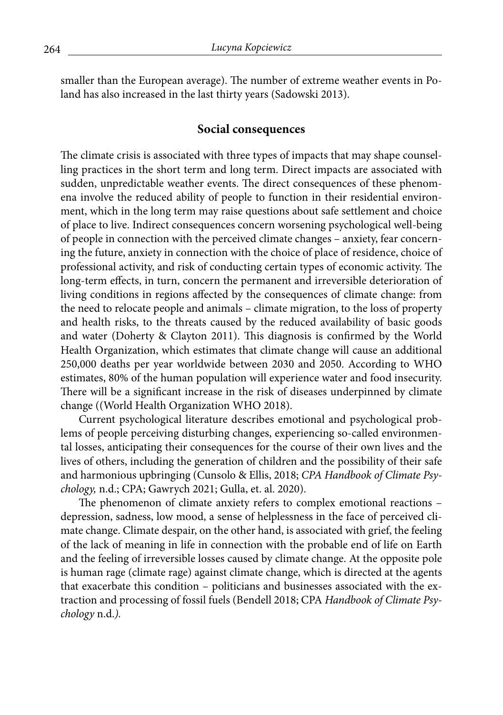smaller than the European average). The number of extreme weather events in Poland has also increased in the last thirty years (Sadowski 2013).

#### **Social consequences**

The climate crisis is associated with three types of impacts that may shape counselling practices in the short term and long term. Direct impacts are associated with sudden, unpredictable weather events. The direct consequences of these phenomena involve the reduced ability of people to function in their residential environment, which in the long term may raise questions about safe settlement and choice of place to live. Indirect consequences concern worsening psychological well-being of people in connection with the perceived climate changes – anxiety, fear concerning the future, anxiety in connection with the choice of place of residence, choice of professional activity, and risk of conducting certain types of economic activity. The long-term effects, in turn, concern the permanent and irreversible deterioration of living conditions in regions affected by the consequences of climate change: from the need to relocate people and animals – climate migration, to the loss of property and health risks, to the threats caused by the reduced availability of basic goods and water (Doherty & Clayton 2011). This diagnosis is confirmed by the World Health Organization, which estimates that climate change will cause an additional 250,000 deaths per year worldwide between 2030 and 2050. According to WHO estimates, 80% of the human population will experience water and food insecurity. There will be a significant increase in the risk of diseases underpinned by climate change ((World Health Organization WHO 2018).

Current psychological literature describes emotional and psychological problems of people perceiving disturbing changes, experiencing so-called environmental losses, anticipating their consequences for the course of their own lives and the lives of others, including the generation of children and the possibility of their safe and harmonious upbringing (Cunsolo & Ellis, 2018; *CPA Handbook of Climate Psychology,* n.d.; CPA; Gawrych 2021; Gulla, et. al. 2020).

The phenomenon of climate anxiety refers to complex emotional reactions – depression, sadness, low mood, a sense of helplessness in the face of perceived climate change. Climate despair, on the other hand, is associated with grief, the feeling of the lack of meaning in life in connection with the probable end of life on Earth and the feeling of irreversible losses caused by climate change. At the opposite pole is human rage (climate rage) against climate change, which is directed at the agents that exacerbate this condition – politicians and businesses associated with the extraction and processing of fossil fuels (Bendell 2018; CPA *Handbook of Climate Psychology* n.d.*).*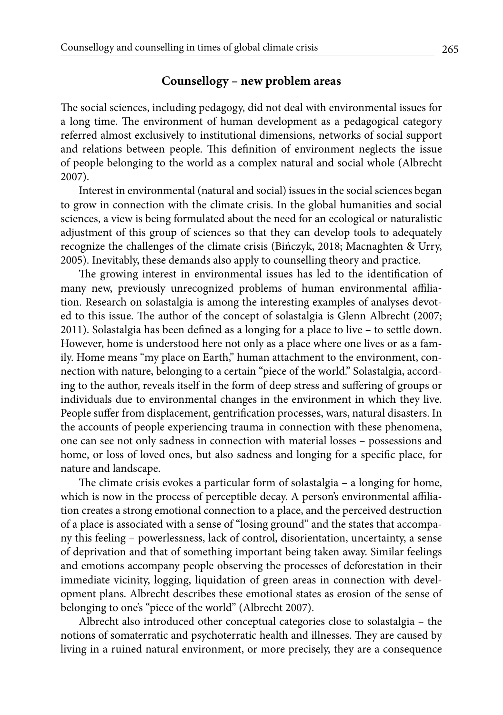## **Counsellogy – new problem areas**

The social sciences, including pedagogy, did not deal with environmental issues for a long time. The environment of human development as a pedagogical category referred almost exclusively to institutional dimensions, networks of social support and relations between people. This definition of environment neglects the issue of people belonging to the world as a complex natural and social whole (Albrecht 2007).

Interest in environmental (natural and social) issues in the social sciences began to grow in connection with the climate crisis. In the global humanities and social sciences, a view is being formulated about the need for an ecological or naturalistic adjustment of this group of sciences so that they can develop tools to adequately recognize the challenges of the climate crisis (Bińczyk, 2018; Macnaghten & Urry, 2005). Inevitably, these demands also apply to counselling theory and practice.

The growing interest in environmental issues has led to the identification of many new, previously unrecognized problems of human environmental affiliation. Research on solastalgia is among the interesting examples of analyses devoted to this issue. The author of the concept of solastalgia is Glenn Albrecht (2007; 2011). Solastalgia has been defined as a longing for a place to live – to settle down. However, home is understood here not only as a place where one lives or as a family. Home means "my place on Earth," human attachment to the environment, connection with nature, belonging to a certain "piece of the world." Solastalgia, according to the author, reveals itself in the form of deep stress and suffering of groups or individuals due to environmental changes in the environment in which they live. People suffer from displacement, gentrification processes, wars, natural disasters. In the accounts of people experiencing trauma in connection with these phenomena, one can see not only sadness in connection with material losses – possessions and home, or loss of loved ones, but also sadness and longing for a specific place, for nature and landscape.

The climate crisis evokes a particular form of solastalgia – a longing for home, which is now in the process of perceptible decay. A person's environmental affiliation creates a strong emotional connection to a place, and the perceived destruction of a place is associated with a sense of "losing ground" and the states that accompany this feeling – powerlessness, lack of control, disorientation, uncertainty, a sense of deprivation and that of something important being taken away. Similar feelings and emotions accompany people observing the processes of deforestation in their immediate vicinity, logging, liquidation of green areas in connection with development plans. Albrecht describes these emotional states as erosion of the sense of belonging to one's "piece of the world" (Albrecht 2007).

Albrecht also introduced other conceptual categories close to solastalgia – the notions of somaterratic and psychoterratic health and illnesses. They are caused by living in a ruined natural environment, or more precisely, they are a consequence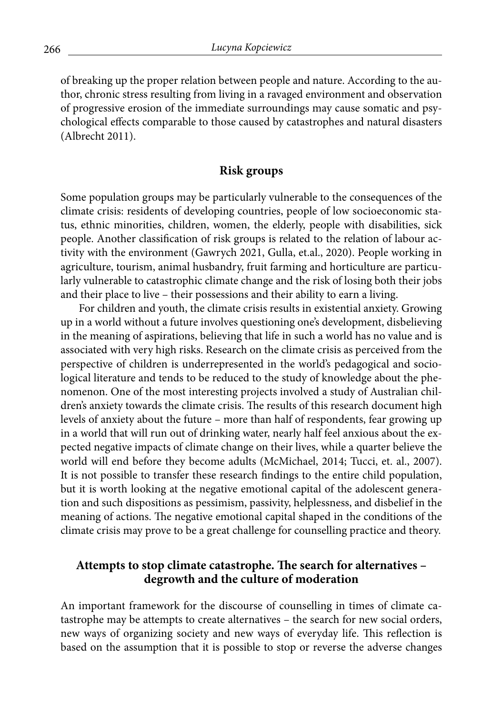of breaking up the proper relation between people and nature. According to the author, chronic stress resulting from living in a ravaged environment and observation of progressive erosion of the immediate surroundings may cause somatic and psychological effects comparable to those caused by catastrophes and natural disasters (Albrecht 2011).

#### **Risk groups**

Some population groups may be particularly vulnerable to the consequences of the climate crisis: residents of developing countries, people of low socioeconomic status, ethnic minorities, children, women, the elderly, people with disabilities, sick people. Another classification of risk groups is related to the relation of labour activity with the environment (Gawrych 2021, Gulla, et.al., 2020). People working in agriculture, tourism, animal husbandry, fruit farming and horticulture are particularly vulnerable to catastrophic climate change and the risk of losing both their jobs and their place to live – their possessions and their ability to earn a living.

For children and youth, the climate crisis results in existential anxiety. Growing up in a world without a future involves questioning one's development, disbelieving in the meaning of aspirations, believing that life in such a world has no value and is associated with very high risks. Research on the climate crisis as perceived from the perspective of children is underrepresented in the world's pedagogical and sociological literature and tends to be reduced to the study of knowledge about the phenomenon. One of the most interesting projects involved a study of Australian children's anxiety towards the climate crisis. The results of this research document high levels of anxiety about the future – more than half of respondents, fear growing up in a world that will run out of drinking water, nearly half feel anxious about the expected negative impacts of climate change on their lives, while a quarter believe the world will end before they become adults (McMichael, 2014; Tucci, et. al., 2007). It is not possible to transfer these research findings to the entire child population, but it is worth looking at the negative emotional capital of the adolescent generation and such dispositions as pessimism, passivity, helplessness, and disbelief in the meaning of actions. The negative emotional capital shaped in the conditions of the climate crisis may prove to be a great challenge for counselling practice and theory.

## **Attempts to stop climate catastrophe. The search for alternatives – degrowth and the culture of moderation**

An important framework for the discourse of counselling in times of climate catastrophe may be attempts to create alternatives – the search for new social orders, new ways of organizing society and new ways of everyday life. This reflection is based on the assumption that it is possible to stop or reverse the adverse changes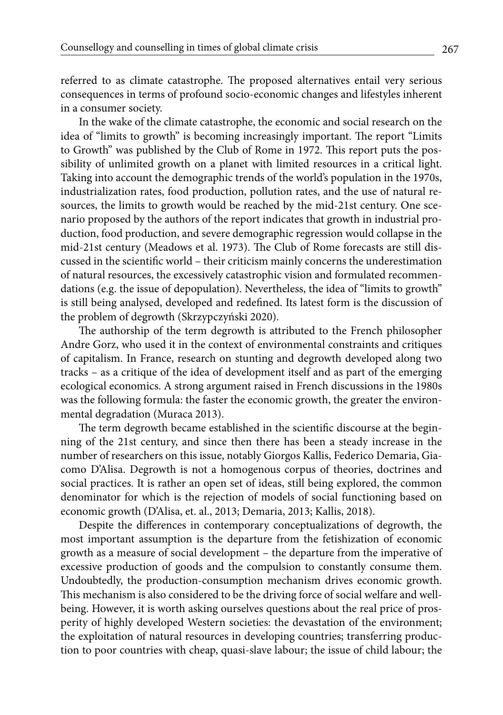referred to as climate catastrophe. The proposed alternatives entail very serious consequences in terms of profound socio-economic changes and lifestyles inherent in a consumer society.

In the wake of the climate catastrophe, the economic and social research on the idea of "limits to growth" is becoming increasingly important. The report "Limits to Growth" was published by the Club of Rome in 1972. This report puts the possibility of unlimited growth on a planet with limited resources in a critical light. Taking into account the demographic trends of the world's population in the 1970s, industrialization rates, food production, pollution rates, and the use of natural resources, the limits to growth would be reached by the mid-21st century. One scenario proposed by the authors of the report indicates that growth in industrial production, food production, and severe demographic regression would collapse in the mid-21st century (Meadows et al. 1973). The Club of Rome forecasts are still discussed in the scientific world – their criticism mainly concerns the underestimation of natural resources, the excessively catastrophic vision and formulated recommendations (e.g. the issue of depopulation). Nevertheless, the idea of "limits to growth" is still being analysed, developed and redefined. Its latest form is the discussion of the problem of degrowth (Skrzypczyński 2020).

The authorship of the term degrowth is attributed to the French philosopher Andre Gorz, who used it in the context of environmental constraints and critiques of capitalism. In France, research on stunting and degrowth developed along two tracks – as a critique of the idea of development itself and as part of the emerging ecological economics. A strong argument raised in French discussions in the 1980s was the following formula: the faster the economic growth, the greater the environmental degradation (Muraca 2013).

The term degrowth became established in the scientific discourse at the beginning of the 21st century, and since then there has been a steady increase in the number of researchers on this issue, notably Giorgos Kallis, Federico Demaria, Giacomo D'Alisa. Degrowth is not a homogenous corpus of theories, doctrines and social practices. It is rather an open set of ideas, still being explored, the common denominator for which is the rejection of models of social functioning based on economic growth (D'Alisa, et. al., 2013; Demaria, 2013; Kallis, 2018).

Despite the differences in contemporary conceptualizations of degrowth, the most important assumption is the departure from the fetishization of economic growth as a measure of social development – the departure from the imperative of excessive production of goods and the compulsion to constantly consume them. Undoubtedly, the production-consumption mechanism drives economic growth. This mechanism is also considered to be the driving force of social welfare and wellbeing. However, it is worth asking ourselves questions about the real price of prosperity of highly developed Western societies: the devastation of the environment; the exploitation of natural resources in developing countries; transferring production to poor countries with cheap, quasi-slave labour; the issue of child labour; the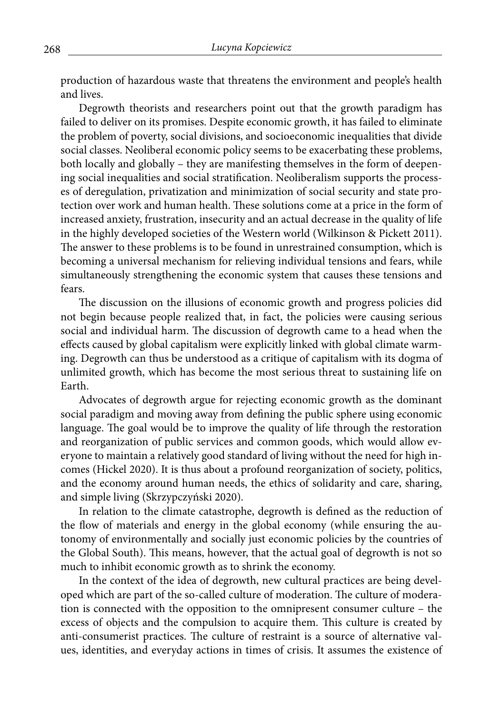production of hazardous waste that threatens the environment and people's health and lives.

Degrowth theorists and researchers point out that the growth paradigm has failed to deliver on its promises. Despite economic growth, it has failed to eliminate the problem of poverty, social divisions, and socioeconomic inequalities that divide social classes. Neoliberal economic policy seems to be exacerbating these problems, both locally and globally – they are manifesting themselves in the form of deepening social inequalities and social stratification. Neoliberalism supports the processes of deregulation, privatization and minimization of social security and state protection over work and human health. These solutions come at a price in the form of increased anxiety, frustration, insecurity and an actual decrease in the quality of life in the highly developed societies of the Western world (Wilkinson & Pickett 2011). The answer to these problems is to be found in unrestrained consumption, which is becoming a universal mechanism for relieving individual tensions and fears, while simultaneously strengthening the economic system that causes these tensions and fears.

The discussion on the illusions of economic growth and progress policies did not begin because people realized that, in fact, the policies were causing serious social and individual harm. The discussion of degrowth came to a head when the effects caused by global capitalism were explicitly linked with global climate warming. Degrowth can thus be understood as a critique of capitalism with its dogma of unlimited growth, which has become the most serious threat to sustaining life on Earth.

Advocates of degrowth argue for rejecting economic growth as the dominant social paradigm and moving away from defining the public sphere using economic language. The goal would be to improve the quality of life through the restoration and reorganization of public services and common goods, which would allow everyone to maintain a relatively good standard of living without the need for high incomes (Hickel 2020). It is thus about a profound reorganization of society, politics, and the economy around human needs, the ethics of solidarity and care, sharing, and simple living (Skrzypczyński 2020).

In relation to the climate catastrophe, degrowth is defined as the reduction of the flow of materials and energy in the global economy (while ensuring the autonomy of environmentally and socially just economic policies by the countries of the Global South). This means, however, that the actual goal of degrowth is not so much to inhibit economic growth as to shrink the economy.

In the context of the idea of degrowth, new cultural practices are being developed which are part of the so-called culture of moderation. The culture of moderation is connected with the opposition to the omnipresent consumer culture – the excess of objects and the compulsion to acquire them. This culture is created by anti-consumerist practices. The culture of restraint is a source of alternative values, identities, and everyday actions in times of crisis. It assumes the existence of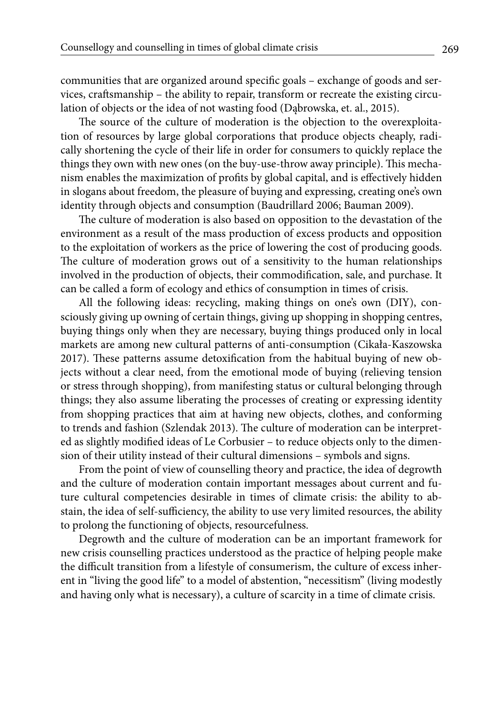communities that are organized around specific goals – exchange of goods and services, craftsmanship – the ability to repair, transform or recreate the existing circulation of objects or the idea of not wasting food (Dąbrowska, et. al., 2015).

The source of the culture of moderation is the objection to the overexploitation of resources by large global corporations that produce objects cheaply, radically shortening the cycle of their life in order for consumers to quickly replace the things they own with new ones (on the buy-use-throw away principle). This mechanism enables the maximization of profits by global capital, and is effectively hidden in slogans about freedom, the pleasure of buying and expressing, creating one's own identity through objects and consumption (Baudrillard 2006; Bauman 2009).

The culture of moderation is also based on opposition to the devastation of the environment as a result of the mass production of excess products and opposition to the exploitation of workers as the price of lowering the cost of producing goods. The culture of moderation grows out of a sensitivity to the human relationships involved in the production of objects, their commodification, sale, and purchase. It can be called a form of ecology and ethics of consumption in times of crisis.

All the following ideas: recycling, making things on one's own (DIY), consciously giving up owning of certain things, giving up shopping in shopping centres, buying things only when they are necessary, buying things produced only in local markets are among new cultural patterns of anti-consumption (Cikała-Kaszowska 2017). These patterns assume detoxification from the habitual buying of new objects without a clear need, from the emotional mode of buying (relieving tension or stress through shopping), from manifesting status or cultural belonging through things; they also assume liberating the processes of creating or expressing identity from shopping practices that aim at having new objects, clothes, and conforming to trends and fashion (Szlendak 2013). The culture of moderation can be interpreted as slightly modified ideas of Le Corbusier – to reduce objects only to the dimension of their utility instead of their cultural dimensions – symbols and signs.

From the point of view of counselling theory and practice, the idea of degrowth and the culture of moderation contain important messages about current and future cultural competencies desirable in times of climate crisis: the ability to abstain, the idea of self-sufficiency, the ability to use very limited resources, the ability to prolong the functioning of objects, resourcefulness.

Degrowth and the culture of moderation can be an important framework for new crisis counselling practices understood as the practice of helping people make the difficult transition from a lifestyle of consumerism, the culture of excess inherent in "living the good life" to a model of abstention, "necessitism" (living modestly and having only what is necessary), a culture of scarcity in a time of climate crisis.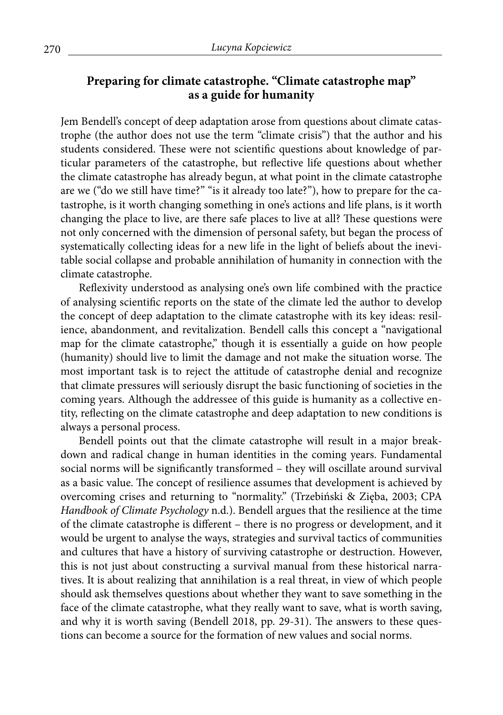# **Preparing for climate catastrophe. "Climate catastrophe map" as a guide for humanity**

Jem Bendell's concept of deep adaptation arose from questions about climate catastrophe (the author does not use the term "climate crisis") that the author and his students considered. These were not scientific questions about knowledge of particular parameters of the catastrophe, but reflective life questions about whether the climate catastrophe has already begun, at what point in the climate catastrophe are we ("do we still have time?" "is it already too late?"), how to prepare for the catastrophe, is it worth changing something in one's actions and life plans, is it worth changing the place to live, are there safe places to live at all? These questions were not only concerned with the dimension of personal safety, but began the process of systematically collecting ideas for a new life in the light of beliefs about the inevitable social collapse and probable annihilation of humanity in connection with the climate catastrophe.

Reflexivity understood as analysing one's own life combined with the practice of analysing scientific reports on the state of the climate led the author to develop the concept of deep adaptation to the climate catastrophe with its key ideas: resilience, abandonment, and revitalization. Bendell calls this concept a "navigational map for the climate catastrophe," though it is essentially a guide on how people (humanity) should live to limit the damage and not make the situation worse. The most important task is to reject the attitude of catastrophe denial and recognize that climate pressures will seriously disrupt the basic functioning of societies in the coming years. Although the addressee of this guide is humanity as a collective entity, reflecting on the climate catastrophe and deep adaptation to new conditions is always a personal process.

Bendell points out that the climate catastrophe will result in a major breakdown and radical change in human identities in the coming years. Fundamental social norms will be significantly transformed – they will oscillate around survival as a basic value. The concept of resilience assumes that development is achieved by overcoming crises and returning to "normality." (Trzebiński & Zięba, 2003; CPA *Handbook of Climate Psychology* n.d.). Bendell argues that the resilience at the time of the climate catastrophe is different – there is no progress or development, and it would be urgent to analyse the ways, strategies and survival tactics of communities and cultures that have a history of surviving catastrophe or destruction. However, this is not just about constructing a survival manual from these historical narratives. It is about realizing that annihilation is a real threat, in view of which people should ask themselves questions about whether they want to save something in the face of the climate catastrophe, what they really want to save, what is worth saving, and why it is worth saving (Bendell 2018, pp. 29-31). The answers to these questions can become a source for the formation of new values and social norms.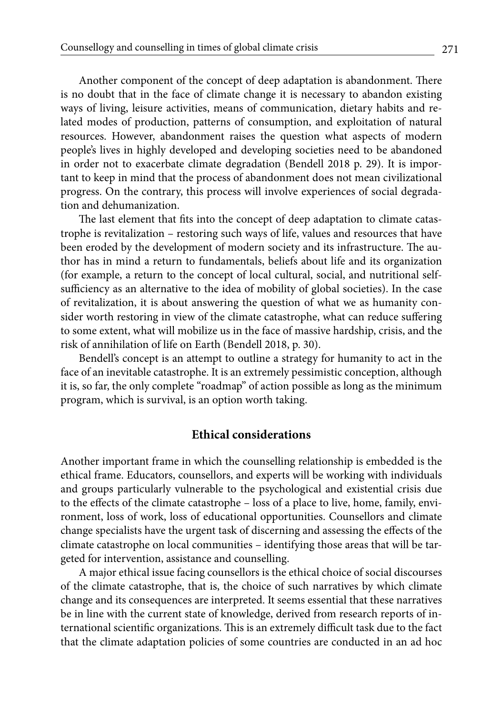Another component of the concept of deep adaptation is abandonment. There is no doubt that in the face of climate change it is necessary to abandon existing ways of living, leisure activities, means of communication, dietary habits and related modes of production, patterns of consumption, and exploitation of natural resources. However, abandonment raises the question what aspects of modern people's lives in highly developed and developing societies need to be abandoned in order not to exacerbate climate degradation (Bendell 2018 p. 29). It is important to keep in mind that the process of abandonment does not mean civilizational progress. On the contrary, this process will involve experiences of social degradation and dehumanization.

The last element that fits into the concept of deep adaptation to climate catastrophe is revitalization – restoring such ways of life, values and resources that have been eroded by the development of modern society and its infrastructure. The author has in mind a return to fundamentals, beliefs about life and its organization (for example, a return to the concept of local cultural, social, and nutritional selfsufficiency as an alternative to the idea of mobility of global societies). In the case of revitalization, it is about answering the question of what we as humanity consider worth restoring in view of the climate catastrophe, what can reduce suffering to some extent, what will mobilize us in the face of massive hardship, crisis, and the risk of annihilation of life on Earth (Bendell 2018, p. 30).

Bendell's concept is an attempt to outline a strategy for humanity to act in the face of an inevitable catastrophe. It is an extremely pessimistic conception, although it is, so far, the only complete "roadmap" of action possible as long as the minimum program, which is survival, is an option worth taking.

### **Ethical considerations**

Another important frame in which the counselling relationship is embedded is the ethical frame. Educators, counsellors, and experts will be working with individuals and groups particularly vulnerable to the psychological and existential crisis due to the effects of the climate catastrophe – loss of a place to live, home, family, environment, loss of work, loss of educational opportunities. Counsellors and climate change specialists have the urgent task of discerning and assessing the effects of the climate catastrophe on local communities – identifying those areas that will be targeted for intervention, assistance and counselling.

A major ethical issue facing counsellors is the ethical choice of social discourses of the climate catastrophe, that is, the choice of such narratives by which climate change and its consequences are interpreted. It seems essential that these narratives be in line with the current state of knowledge, derived from research reports of international scientific organizations. This is an extremely difficult task due to the fact that the climate adaptation policies of some countries are conducted in an ad hoc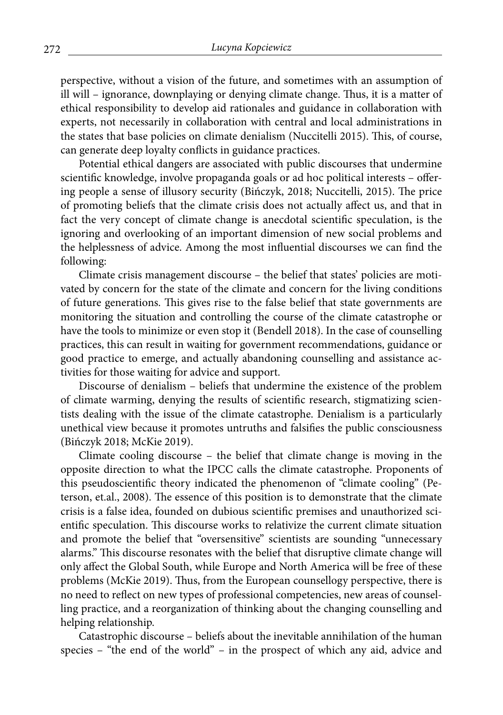perspective, without a vision of the future, and sometimes with an assumption of ill will – ignorance, downplaying or denying climate change. Thus, it is a matter of ethical responsibility to develop aid rationales and guidance in collaboration with experts, not necessarily in collaboration with central and local administrations in the states that base policies on climate denialism (Nuccitelli 2015). This, of course, can generate deep loyalty conflicts in guidance practices.

Potential ethical dangers are associated with public discourses that undermine scientific knowledge, involve propaganda goals or ad hoc political interests – offering people a sense of illusory security (Bińczyk, 2018; Nuccitelli, 2015). The price of promoting beliefs that the climate crisis does not actually affect us, and that in fact the very concept of climate change is anecdotal scientific speculation, is the ignoring and overlooking of an important dimension of new social problems and the helplessness of advice. Among the most influential discourses we can find the following:

Climate crisis management discourse – the belief that states' policies are motivated by concern for the state of the climate and concern for the living conditions of future generations. This gives rise to the false belief that state governments are monitoring the situation and controlling the course of the climate catastrophe or have the tools to minimize or even stop it (Bendell 2018). In the case of counselling practices, this can result in waiting for government recommendations, guidance or good practice to emerge, and actually abandoning counselling and assistance activities for those waiting for advice and support.

Discourse of denialism – beliefs that undermine the existence of the problem of climate warming, denying the results of scientific research, stigmatizing scientists dealing with the issue of the climate catastrophe. Denialism is a particularly unethical view because it promotes untruths and falsifies the public consciousness (Bińczyk 2018; McKie 2019).

Climate cooling discourse – the belief that climate change is moving in the opposite direction to what the IPCC calls the climate catastrophe. Proponents of this pseudoscientific theory indicated the phenomenon of "climate cooling" (Peterson, et.al., 2008). The essence of this position is to demonstrate that the climate crisis is a false idea, founded on dubious scientific premises and unauthorized scientific speculation. This discourse works to relativize the current climate situation and promote the belief that "oversensitive" scientists are sounding "unnecessary alarms." This discourse resonates with the belief that disruptive climate change will only affect the Global South, while Europe and North America will be free of these problems (McKie 2019). Thus, from the European counsellogy perspective, there is no need to reflect on new types of professional competencies, new areas of counselling practice, and a reorganization of thinking about the changing counselling and helping relationship.

Catastrophic discourse – beliefs about the inevitable annihilation of the human species – "the end of the world" – in the prospect of which any aid, advice and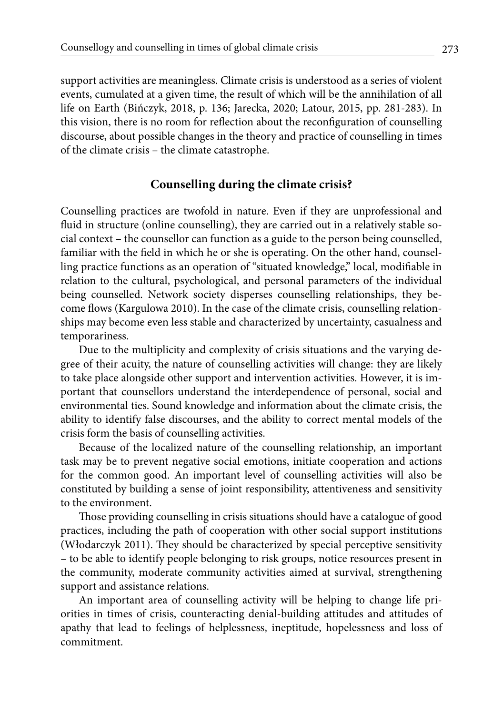support activities are meaningless. Climate crisis is understood as a series of violent events, cumulated at a given time, the result of which will be the annihilation of all life on Earth (Bińczyk, 2018, p. 136; Jarecka, 2020; Latour, 2015, pp. 281-283). In this vision, there is no room for reflection about the reconfiguration of counselling discourse, about possible changes in the theory and practice of counselling in times of the climate crisis – the climate catastrophe.

## **Counselling during the climate crisis?**

Counselling practices are twofold in nature. Even if they are unprofessional and fluid in structure (online counselling), they are carried out in a relatively stable social context – the counsellor can function as a guide to the person being counselled, familiar with the field in which he or she is operating. On the other hand, counselling practice functions as an operation of "situated knowledge," local, modifiable in relation to the cultural, psychological, and personal parameters of the individual being counselled. Network society disperses counselling relationships, they become flows (Kargulowa 2010). In the case of the climate crisis, counselling relationships may become even less stable and characterized by uncertainty, casualness and temporariness.

Due to the multiplicity and complexity of crisis situations and the varying degree of their acuity, the nature of counselling activities will change: they are likely to take place alongside other support and intervention activities. However, it is important that counsellors understand the interdependence of personal, social and environmental ties. Sound knowledge and information about the climate crisis, the ability to identify false discourses, and the ability to correct mental models of the crisis form the basis of counselling activities.

Because of the localized nature of the counselling relationship, an important task may be to prevent negative social emotions, initiate cooperation and actions for the common good. An important level of counselling activities will also be constituted by building a sense of joint responsibility, attentiveness and sensitivity to the environment.

Those providing counselling in crisis situations should have a catalogue of good practices, including the path of cooperation with other social support institutions (Włodarczyk 2011). They should be characterized by special perceptive sensitivity – to be able to identify people belonging to risk groups, notice resources present in the community, moderate community activities aimed at survival, strengthening support and assistance relations.

An important area of counselling activity will be helping to change life priorities in times of crisis, counteracting denial-building attitudes and attitudes of apathy that lead to feelings of helplessness, ineptitude, hopelessness and loss of commitment.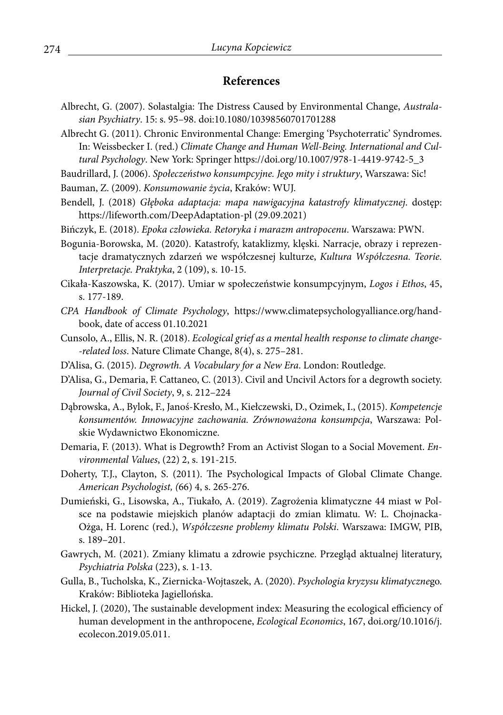## **References**

- Albrecht, G. (2007). Solastalgia: The Distress Caused by Environmental Change, *Australasian Psychiatry*. 15: s. 95–98. doi:10.1080/10398560701701288
- Albrecht G. (2011). Chronic Environmental Change: Emerging 'Psychoterratic' Syndromes. In: Weissbecker I. (red.) *Climate Change and Human Well-Being. International and Cultural Psychology*. New York: Springer https://doi.org/10.1007/978-1-4419-9742-5\_3
- Baudrillard, J. (2006). *Społeczeństwo konsumpcyjne. Jego mity i struktury*, Warszawa: Sic!
- Bauman, Z. (2009). *Konsumowanie życia*, Kraków: WUJ.
- Bendell, J. (2018) *Głęboka adaptacja: mapa nawigacyjna katastrofy klimatycznej*. dostęp: https://lifeworth.com/DeepAdaptation-pl (29.09.2021)
- Bińczyk, E. (2018). *Epoka człowieka. Retoryka i marazm antropocenu*. Warszawa: PWN.
- Bogunia-Borowska, M. (2020). Katastrofy, kataklizmy, klęski. Narracje, obrazy i reprezentacje dramatycznych zdarzeń we współczesnej kulturze, *Kultura Współczesna. Teorie. Interpretacje. Praktyka*, 2 (109), s. 10-15.
- Cikała-Kaszowska, K. (2017). Umiar w społeczeństwie konsumpcyjnym, *Logos i Ethos*, 45, s. 177-189.
- *CPA Handbook of Climate Psychology*, https://www.climatepsychologyalliance.org/handbook, date of access 01.10.2021
- Cunsolo, A., Ellis, N. R. (2018). *Ecological grief as a mental health response to climate change- -related loss*. Nature Climate Change, 8(4), s. 275–281.
- D'Alisa, G. (2015). *Degrowth. A Vocabulary for a New Era*. London: Routledge.
- D'Alisa, G., Demaria, F. Cattaneo, C. (2013). Civil and Uncivil Actors for a degrowth society. *Journal of Civil Society*, 9, s. 212–224
- Dąbrowska, A., Bylok, F., Janoś-Kresło, M., Kiełczewski, D., Ozimek, I., (2015). *Kompetencje konsumentów. Innowacyjne zachowania. Zrównoważona konsumpcja*, Warszawa: Polskie Wydawnictwo Ekonomiczne.
- Demaria, F. (2013). What is Degrowth? From an Activist Slogan to a Social Movement. *Environmental Values*, (22) 2, s. 191-215.
- Doherty, T.J., Clayton, S. (2011). The Psychological Impacts of Global Climate Change. *American Psychologist, (*66) 4, s. 265-276.
- Dumieński, G., Lisowska, A., Tiukało, A. (2019). Zagrożenia klimatyczne 44 miast w Polsce na podstawie miejskich planów adaptacji do zmian klimatu. W: L. Chojnacka-Ożga, H. Lorenc (red.), *Współczesne problemy klimatu Polski*. Warszawa: IMGW, PIB, s. 189–201.
- Gawrych, M. (2021). Zmiany klimatu a zdrowie psychiczne. Przegląd aktualnej literatury, *Psychiatria Polska* (223), s. 1-13.
- Gulla, B., Tucholska, K., Ziernicka-Wojtaszek, A. (2020). *Psychologia kryzysu klimatyczne*go. Kraków: Biblioteka Jagiellońska.
- Hickel, J. (2020), The sustainable development index: Measuring the ecological efficiency of human development in the anthropocene, *Ecological Economics*, 167, doi.org/10.1016/j. ecolecon.2019.05.011.